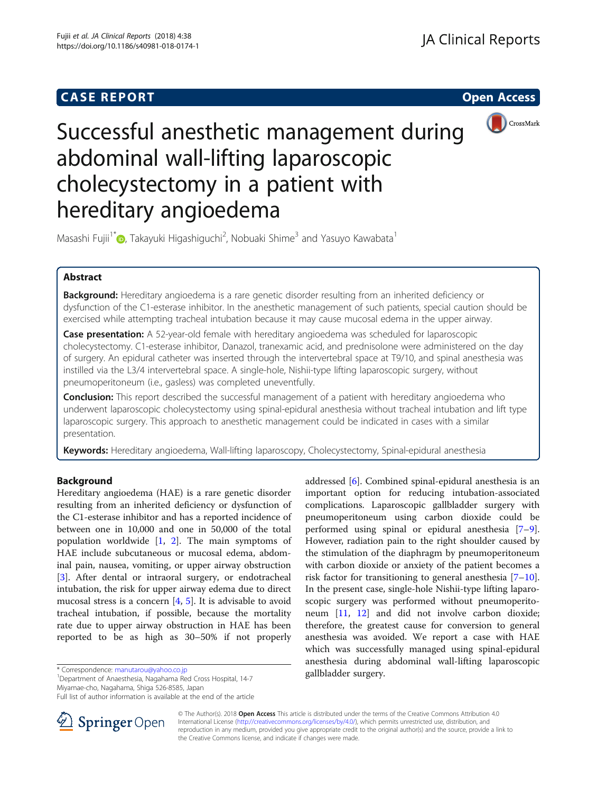# **CASE REPORT CASE REPORT CASE REPORT**



# Successful anesthetic management during abdominal wall-lifting laparoscopic cholecystectomy in a patient with hereditary angioedema

Masashi Fujii<sup>1[\\*](http://orcid.org/0000-0002-5371-9946)</sup> $\bullet$ , Takayuki Higashiguchi<sup>2</sup>, Nobuaki Shime<sup>3</sup> and Yasuyo Kawabata<sup>1</sup>

# Abstract

Background: Hereditary angioedema is a rare genetic disorder resulting from an inherited deficiency or dysfunction of the C1-esterase inhibitor. In the anesthetic management of such patients, special caution should be exercised while attempting tracheal intubation because it may cause mucosal edema in the upper airway.

**Case presentation:** A 52-year-old female with hereditary angioedema was scheduled for laparoscopic cholecystectomy. C1-esterase inhibitor, Danazol, tranexamic acid, and prednisolone were administered on the day of surgery. An epidural catheter was inserted through the intervertebral space at T9/10, and spinal anesthesia was instilled via the L3/4 intervertebral space. A single-hole, Nishii-type lifting laparoscopic surgery, without pneumoperitoneum (i.e., gasless) was completed uneventfully.

**Conclusion:** This report described the successful management of a patient with hereditary angioedema who underwent laparoscopic cholecystectomy using spinal-epidural anesthesia without tracheal intubation and lift type laparoscopic surgery. This approach to anesthetic management could be indicated in cases with a similar presentation.

Keywords: Hereditary angioedema, Wall-lifting laparoscopy, Cholecystectomy, Spinal-epidural anesthesia

## Background

Hereditary angioedema (HAE) is a rare genetic disorder resulting from an inherited deficiency or dysfunction of the C1-esterase inhibitor and has a reported incidence of between one in 10,000 and one in 50,000 of the total population worldwide [[1,](#page-2-0) [2\]](#page-2-0). The main symptoms of HAE include subcutaneous or mucosal edema, abdominal pain, nausea, vomiting, or upper airway obstruction [[3\]](#page-2-0). After dental or intraoral surgery, or endotracheal intubation, the risk for upper airway edema due to direct mucosal stress is a concern  $[4, 5]$  $[4, 5]$  $[4, 5]$  $[4, 5]$ . It is advisable to avoid tracheal intubation, if possible, because the mortality rate due to upper airway obstruction in HAE has been reported to be as high as 30–50% if not properly

gallbladder surgery. \* Correspondence: [manutarou@yahoo.co.jp](mailto:manutarou@yahoo.co.jp) <sup>1</sup> Department of Anaesthesia, Nagahama Red Cross Hospital, 14-7 Miyamae-cho, Nagahama, Shiga 526-8585, Japan

Full list of author information is available at the end of the article



addressed [\[6](#page-2-0)]. Combined spinal-epidural anesthesia is an important option for reducing intubation-associated complications. Laparoscopic gallbladder surgery with pneumoperitoneum using carbon dioxide could be performed using spinal or epidural anesthesia [\[7](#page-2-0)–[9](#page-2-0)]. However, radiation pain to the right shoulder caused by the stimulation of the diaphragm by pneumoperitoneum with carbon dioxide or anxiety of the patient becomes a risk factor for transitioning to general anesthesia  $[7-10]$  $[7-10]$  $[7-10]$  $[7-10]$  $[7-10]$ . In the present case, single-hole Nishii-type lifting laparoscopic surgery was performed without pneumoperitoneum [[11](#page-2-0), [12\]](#page-2-0) and did not involve carbon dioxide; therefore, the greatest cause for conversion to general anesthesia was avoided. We report a case with HAE which was successfully managed using spinal-epidural anesthesia during abdominal wall-lifting laparoscopic

© The Author(s). 2018 Open Access This article is distributed under the terms of the Creative Commons Attribution 4.0 International License ([http://creativecommons.org/licenses/by/4.0/\)](http://creativecommons.org/licenses/by/4.0/), which permits unrestricted use, distribution, and reproduction in any medium, provided you give appropriate credit to the original author(s) and the source, provide a link to the Creative Commons license, and indicate if changes were made.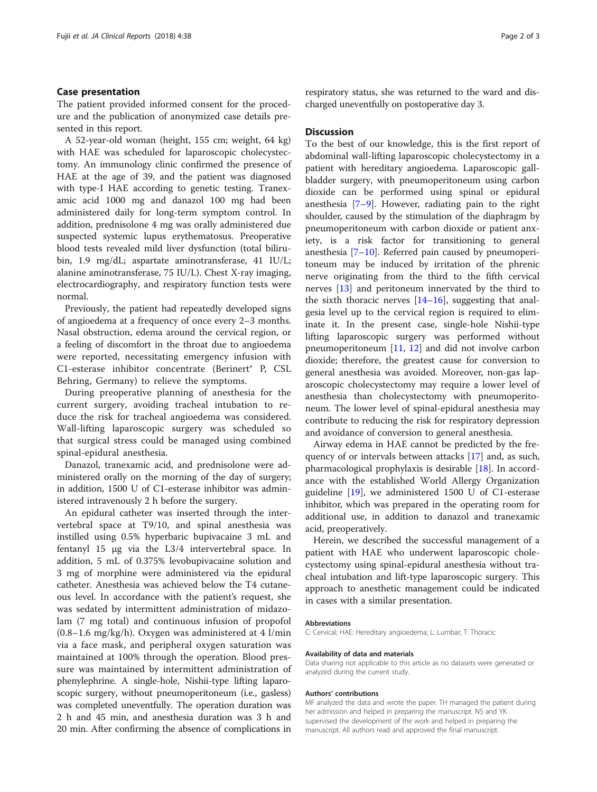## Case presentation

The patient provided informed consent for the procedure and the publication of anonymized case details presented in this report.

A 52-year-old woman (height, 155 cm; weight, 64 kg) with HAE was scheduled for laparoscopic cholecystectomy. An immunology clinic confirmed the presence of HAE at the age of 39, and the patient was diagnosed with type-I HAE according to genetic testing. Tranexamic acid 1000 mg and danazol 100 mg had been administered daily for long-term symptom control. In addition, prednisolone 4 mg was orally administered due suspected systemic lupus erythematosus. Preoperative blood tests revealed mild liver dysfunction (total bilirubin, 1.9 mg/dL; aspartate aminotransferase, 41 IU/L; alanine aminotransferase, 75 IU/L). Chest X-ray imaging, electrocardiography, and respiratory function tests were normal.

Previously, the patient had repeatedly developed signs of angioedema at a frequency of once every 2–3 months. Nasal obstruction, edema around the cervical region, or a feeling of discomfort in the throat due to angioedema were reported, necessitating emergency infusion with C1-esterase inhibitor concentrate (Berinert® P, CSL Behring, Germany) to relieve the symptoms.

During preoperative planning of anesthesia for the current surgery, avoiding tracheal intubation to reduce the risk for tracheal angioedema was considered. Wall-lifting laparoscopic surgery was scheduled so that surgical stress could be managed using combined spinal-epidural anesthesia.

Danazol, tranexamic acid, and prednisolone were administered orally on the morning of the day of surgery; in addition, 1500 U of C1-esterase inhibitor was administered intravenously 2 h before the surgery.

An epidural catheter was inserted through the intervertebral space at T9/10, and spinal anesthesia was instilled using 0.5% hyperbaric bupivacaine 3 mL and fentanyl 15 μg via the L3/4 intervertebral space. In addition, 5 mL of 0.375% levobupivacaine solution and 3 mg of morphine were administered via the epidural catheter. Anesthesia was achieved below the T4 cutaneous level. In accordance with the patient's request, she was sedated by intermittent administration of midazolam (7 mg total) and continuous infusion of propofol  $(0.8-1.6 \text{ mg/kg/h})$ . Oxygen was administered at 4 l/min via a face mask, and peripheral oxygen saturation was maintained at 100% through the operation. Blood pressure was maintained by intermittent administration of phenylephrine. A single-hole, Nishii-type lifting laparoscopic surgery, without pneumoperitoneum (i.e., gasless) was completed uneventfully. The operation duration was 2 h and 45 min, and anesthesia duration was 3 h and 20 min. After confirming the absence of complications in respiratory status, she was returned to the ward and discharged uneventfully on postoperative day 3.

## **Discussion**

To the best of our knowledge, this is the first report of abdominal wall-lifting laparoscopic cholecystectomy in a patient with hereditary angioedema. Laparoscopic gallbladder surgery, with pneumoperitoneum using carbon dioxide can be performed using spinal or epidural anesthesia [[7](#page-2-0)–[9](#page-2-0)]. However, radiating pain to the right shoulder, caused by the stimulation of the diaphragm by pneumoperitoneum with carbon dioxide or patient anxiety, is a risk factor for transitioning to general anesthesia  $[7-10]$  $[7-10]$  $[7-10]$  $[7-10]$ . Referred pain caused by pneumoperitoneum may be induced by irritation of the phrenic nerve originating from the third to the fifth cervical nerves [[13\]](#page-2-0) and peritoneum innervated by the third to the sixth thoracic nerves  $[14–16]$  $[14–16]$  $[14–16]$ , suggesting that analgesia level up to the cervical region is required to eliminate it. In the present case, single-hole Nishii-type lifting laparoscopic surgery was performed without pneumoperitoneum [[11](#page-2-0), [12](#page-2-0)] and did not involve carbon dioxide; therefore, the greatest cause for conversion to general anesthesia was avoided. Moreover, non-gas laparoscopic cholecystectomy may require a lower level of anesthesia than cholecystectomy with pneumoperitoneum. The lower level of spinal-epidural anesthesia may contribute to reducing the risk for respiratory depression and avoidance of conversion to general anesthesia.

Airway edema in HAE cannot be predicted by the frequency of or intervals between attacks [[17](#page-2-0)] and, as such, pharmacological prophylaxis is desirable [\[18](#page-2-0)]. In accordance with the established World Allergy Organization guideline [[19](#page-2-0)], we administered 1500 U of C1-esterase inhibitor, which was prepared in the operating room for additional use, in addition to danazol and tranexamic acid, preoperatively.

Herein, we described the successful management of a patient with HAE who underwent laparoscopic cholecystectomy using spinal-epidural anesthesia without tracheal intubation and lift-type laparoscopic surgery. This approach to anesthetic management could be indicated in cases with a similar presentation.

#### Abbreviations

C: Cervical; HAE: Hereditary angioedema; L: Lumbar; T: Thoracic

#### Availability of data and materials

Data sharing not applicable to this article as no datasets were generated or analyzed during the current study.

#### Authors' contributions

MF analyzed the data and wrote the paper. TH managed the patient during her admission and helped in preparing the manuscript. NS and YK supervised the development of the work and helped in preparing the manuscript. All authors read and approved the final manuscript.